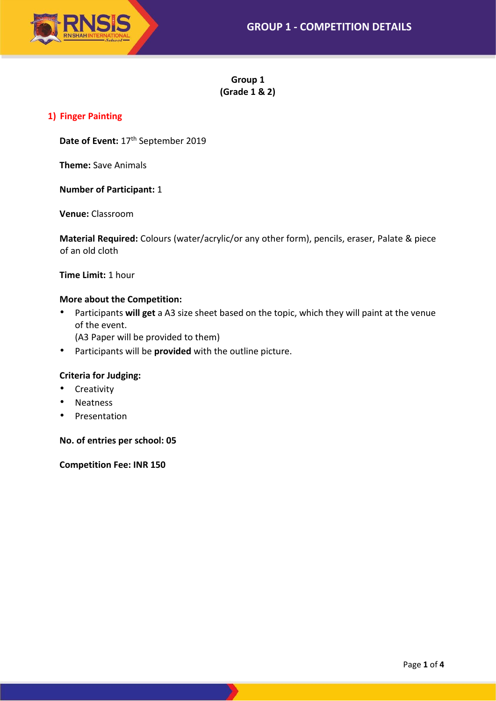

**Group 1 (Grade 1 & 2)**

## **1) Finger Painting**

Date of Event: 17<sup>th</sup> September 2019

**Theme:** Save Animals

**Number of Participant:** 1

**Venue:** Classroom

**Material Required:** Colours (water/acrylic/or any other form), pencils, eraser, Palate & piece of an old cloth

**Time Limit:** 1 hour

### **More about the Competition:**

- Participants **will get** a A3 size sheet based on the topic, which they will paint at the venue of the event.
	- (A3 Paper will be provided to them)
- Participants will be **provided** with the outline picture.

## **Criteria for Judging:**

- Creativity
- Neatness
- Presentation

**No. of entries per school: 05**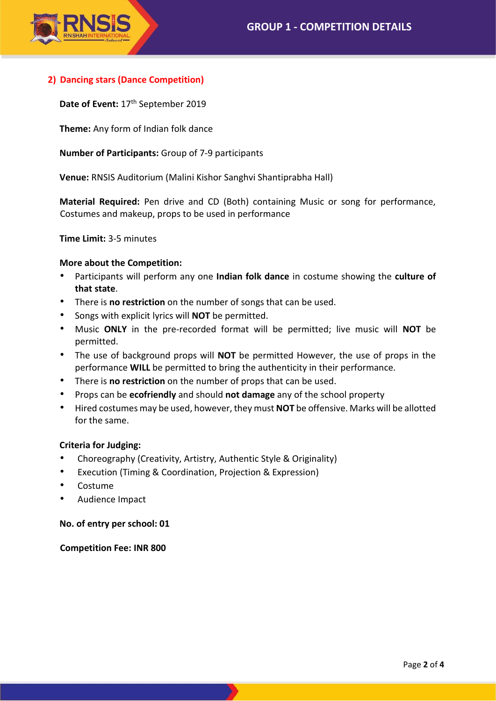

# **2) Dancing stars (Dance Competition)**

Date of Event: 17<sup>th</sup> September 2019

**Theme:** Any form of Indian folk dance

**Number of Participants:** Group of 7-9 participants

**Venue:** RNSIS Auditorium (Malini Kishor Sanghvi Shantiprabha Hall)

**Material Required:** Pen drive and CD (Both) containing Music or song for performance, Costumes and makeup, props to be used in performance

**Time Limit:** 3-5 minutes

### **More about the Competition:**

- Participants will perform any one **Indian folk dance** in costume showing the **culture of that state**.
- There is **no restriction** on the number of songs that can be used.
- Songs with explicit lyrics will **NOT** be permitted.
- Music **ONLY** in the pre-recorded format will be permitted; live music will **NOT** be permitted.
- The use of background props will **NOT** be permitted However, the use of props in the performance **WILL** be permitted to bring the authenticity in their performance.
- There is **no restriction** on the number of props that can be used.
- Props can be **ecofriendly** and should **not damage** any of the school property
- Hired costumes may be used, however, they must **NOT** be offensive. Marks will be allotted for the same.

#### **Criteria for Judging:**

- Choreography (Creativity, Artistry, Authentic Style & Originality)
- Execution (Timing & Coordination, Projection & Expression)
- Costume
- Audience Impact

**No. of entry per school: 01**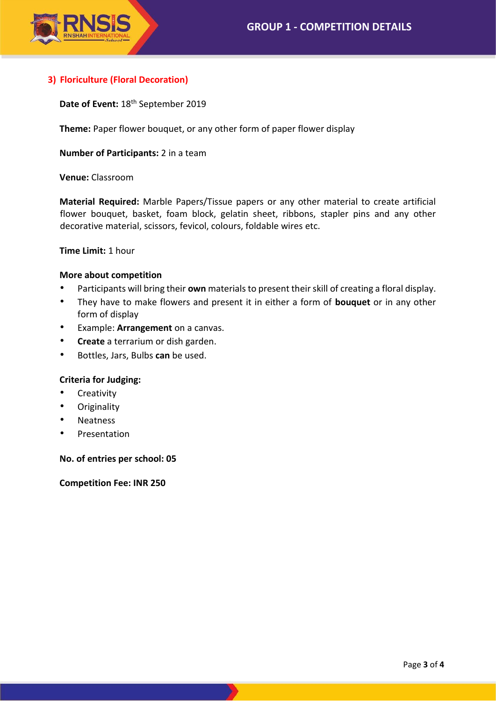

# **3) Floriculture (Floral Decoration)**

Date of Event: 18<sup>th</sup> September 2019

**Theme:** Paper flower bouquet, or any other form of paper flower display

**Number of Participants:** 2 in a team

**Venue:** Classroom

**Material Required:** Marble Papers/Tissue papers or any other material to create artificial flower bouquet, basket, foam block, gelatin sheet, ribbons, stapler pins and any other decorative material, scissors, fevicol, colours, foldable wires etc.

**Time Limit:** 1 hour

#### **More about competition**

- Participants will bring their **own** materials to present their skill of creating a floral display.
- They have to make flowers and present it in either a form of **bouquet** or in any other form of display
- Example: **Arrangement** on a canvas.
- **Create** a terrarium or dish garden.
- Bottles, Jars, Bulbs **can** be used.

#### **Criteria for Judging:**

- **Creativity**
- Originality
- **Neatness**
- Presentation

**No. of entries per school: 05**